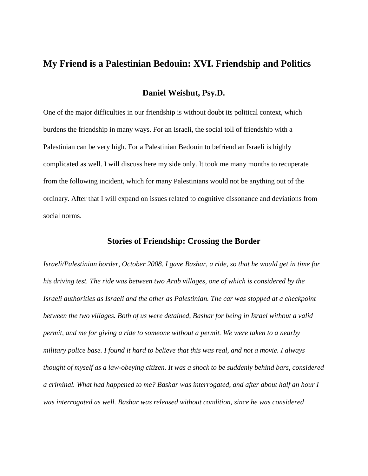# **My Friend is a Palestinian Bedouin: XVI. Friendship and Politics**

### **Daniel Weishut, Psy.D.**

One of the major difficulties in our friendship is without doubt its political context, which burdens the friendship in many ways. For an Israeli, the social toll of friendship with a Palestinian can be very high. For a Palestinian Bedouin to befriend an Israeli is highly complicated as well. I will discuss here my side only. It took me many months to recuperate from the following incident, which for many Palestinians would not be anything out of the ordinary. After that I will expand on issues related to cognitive dissonance and deviations from social norms.

### **Stories of Friendship: Crossing the Border**

*Israeli/Palestinian border, October 2008. I gave Bashar, a ride, so that he would get in time for his driving test. The ride was between two Arab villages, one of which is considered by the Israeli authorities as Israeli and the other as Palestinian. The car was stopped at a checkpoint between the two villages. Both of us were detained, Bashar for being in Israel without a valid permit, and me for giving a ride to someone without a permit. We were taken to a nearby military police base. I found it hard to believe that this was real, and not a movie. I always thought of myself as a law-obeying citizen. It was a shock to be suddenly behind bars, considered a criminal. What had happened to me? Bashar was interrogated, and after about half an hour I was interrogated as well. Bashar was released without condition, since he was considered*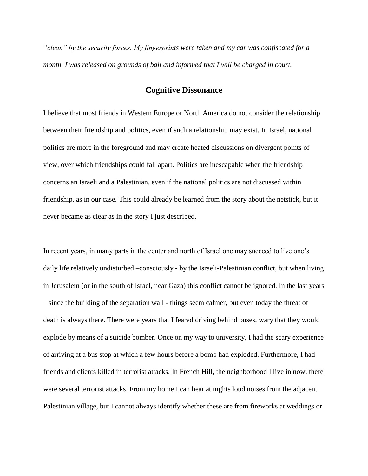*"clean" by the security forces. My fingerprints were taken and my car was confiscated for a month. I was released on grounds of bail and informed that I will be charged in court.* 

### **Cognitive Dissonance**

I believe that most friends in Western Europe or North America do not consider the relationship between their friendship and politics, even if such a relationship may exist. In Israel, national politics are more in the foreground and may create heated discussions on divergent points of view, over which friendships could fall apart. Politics are inescapable when the friendship concerns an Israeli and a Palestinian, even if the national politics are not discussed within friendship, as in our case. This could already be learned from the story about the netstick, but it never became as clear as in the story I just described.

In recent years, in many parts in the center and north of Israel one may succeed to live one's daily life relatively undisturbed –consciously - by the Israeli-Palestinian conflict, but when living in Jerusalem (or in the south of Israel, near Gaza) this conflict cannot be ignored. In the last years – since the building of the separation wall - things seem calmer, but even today the threat of death is always there. There were years that I feared driving behind buses, wary that they would explode by means of a suicide bomber. Once on my way to university, I had the scary experience of arriving at a bus stop at which a few hours before a bomb had exploded. Furthermore, I had friends and clients killed in terrorist attacks. In French Hill, the neighborhood I live in now, there were several terrorist attacks. From my home I can hear at nights loud noises from the adjacent Palestinian village, but I cannot always identify whether these are from fireworks at weddings or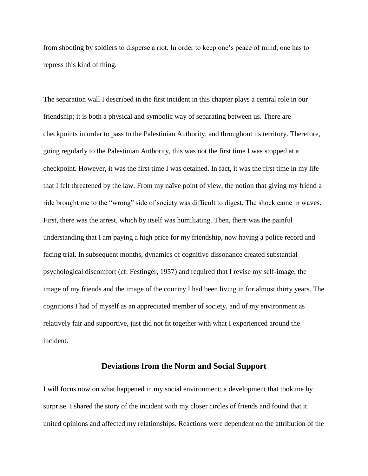from shooting by soldiers to disperse a riot. In order to keep one's peace of mind, one has to repress this kind of thing.

The separation wall I described in the first incident in this chapter plays a central role in our friendship; it is both a physical and symbolic way of separating between us. There are checkpoints in order to pass to the Palestinian Authority, and throughout its territory. Therefore, going regularly to the Palestinian Authority, this was not the first time I was stopped at a checkpoint. However, it was the first time I was detained. In fact, it was the first time in my life that I felt threatened by the law. From my naïve point of view, the notion that giving my friend a ride brought me to the "wrong" side of society was difficult to digest. The shock came in waves. First, there was the arrest, which by itself was humiliating. Then, there was the painful understanding that I am paying a high price for my friendship, now having a police record and facing trial. In subsequent months, dynamics of cognitive dissonance created substantial psychological discomfort (cf. Festinger, 1957) and required that I revise my self-image, the image of my friends and the image of the country I had been living in for almost thirty years. The cognitions I had of myself as an appreciated member of society, and of my environment as relatively fair and supportive, just did not fit together with what I experienced around the incident.

#### **Deviations from the Norm and Social Support**

I will focus now on what happened in my social environment; a development that took me by surprise. I shared the story of the incident with my closer circles of friends and found that it united opinions and affected my relationships. Reactions were dependent on the attribution of the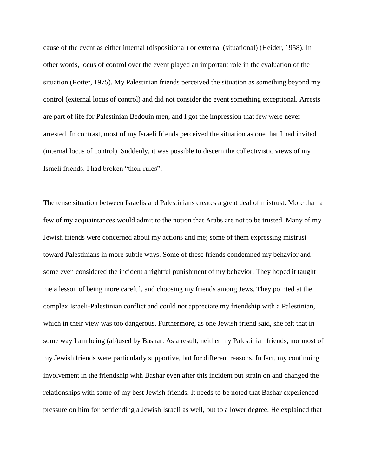cause of the event as either internal (dispositional) or external (situational) (Heider, 1958). In other words, locus of control over the event played an important role in the evaluation of the situation (Rotter, 1975). My Palestinian friends perceived the situation as something beyond my control (external locus of control) and did not consider the event something exceptional. Arrests are part of life for Palestinian Bedouin men, and I got the impression that few were never arrested. In contrast, most of my Israeli friends perceived the situation as one that I had invited (internal locus of control). Suddenly, it was possible to discern the collectivistic views of my Israeli friends. I had broken "their rules".

The tense situation between Israelis and Palestinians creates a great deal of mistrust. More than a few of my acquaintances would admit to the notion that Arabs are not to be trusted. Many of my Jewish friends were concerned about my actions and me; some of them expressing mistrust toward Palestinians in more subtle ways. Some of these friends condemned my behavior and some even considered the incident a rightful punishment of my behavior. They hoped it taught me a lesson of being more careful, and choosing my friends among Jews. They pointed at the complex Israeli-Palestinian conflict and could not appreciate my friendship with a Palestinian, which in their view was too dangerous. Furthermore, as one Jewish friend said, she felt that in some way I am being (ab)used by Bashar. As a result, neither my Palestinian friends, nor most of my Jewish friends were particularly supportive, but for different reasons. In fact, my continuing involvement in the friendship with Bashar even after this incident put strain on and changed the relationships with some of my best Jewish friends. It needs to be noted that Bashar experienced pressure on him for befriending a Jewish Israeli as well, but to a lower degree. He explained that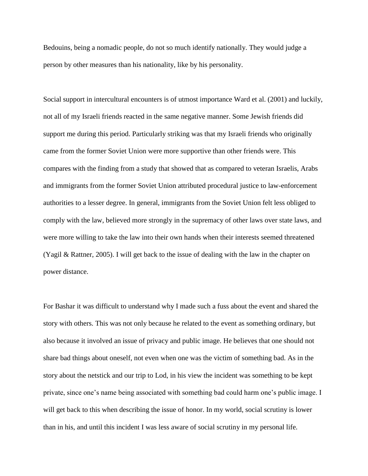Bedouins, being a nomadic people, do not so much identify nationally. They would judge a person by other measures than his nationality, like by his personality.

Social support in intercultural encounters is of utmost importance Ward et al. (2001) and luckily, not all of my Israeli friends reacted in the same negative manner. Some Jewish friends did support me during this period. Particularly striking was that my Israeli friends who originally came from the former Soviet Union were more supportive than other friends were. This compares with the finding from a study that showed that as compared to veteran Israelis, Arabs and immigrants from the former Soviet Union attributed procedural justice to law-enforcement authorities to a lesser degree. In general, immigrants from the Soviet Union felt less obliged to comply with the law, believed more strongly in the supremacy of other laws over state laws, and were more willing to take the law into their own hands when their interests seemed threatened (Yagil & Rattner, 2005). I will get back to the issue of dealing with the law in the chapter on power distance.

For Bashar it was difficult to understand why I made such a fuss about the event and shared the story with others. This was not only because he related to the event as something ordinary, but also because it involved an issue of privacy and public image. He believes that one should not share bad things about oneself, not even when one was the victim of something bad. As in the story about the netstick and our trip to Lod, in his view the incident was something to be kept private, since one's name being associated with something bad could harm one's public image. I will get back to this when describing the issue of honor. In my world, social scrutiny is lower than in his, and until this incident I was less aware of social scrutiny in my personal life.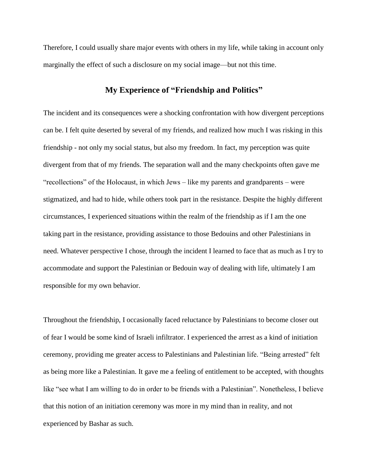Therefore, I could usually share major events with others in my life, while taking in account only marginally the effect of such a disclosure on my social image—but not this time.

## **My Experience of "Friendship and Politics"**

The incident and its consequences were a shocking confrontation with how divergent perceptions can be. I felt quite deserted by several of my friends, and realized how much I was risking in this friendship - not only my social status, but also my freedom. In fact, my perception was quite divergent from that of my friends. The separation wall and the many checkpoints often gave me "recollections" of the Holocaust, in which Jews – like my parents and grandparents – were stigmatized, and had to hide, while others took part in the resistance. Despite the highly different circumstances, I experienced situations within the realm of the friendship as if I am the one taking part in the resistance, providing assistance to those Bedouins and other Palestinians in need. Whatever perspective I chose, through the incident I learned to face that as much as I try to accommodate and support the Palestinian or Bedouin way of dealing with life, ultimately I am responsible for my own behavior.

Throughout the friendship, I occasionally faced reluctance by Palestinians to become closer out of fear I would be some kind of Israeli infiltrator. I experienced the arrest as a kind of initiation ceremony, providing me greater access to Palestinians and Palestinian life. "Being arrested" felt as being more like a Palestinian. It gave me a feeling of entitlement to be accepted, with thoughts like "see what I am willing to do in order to be friends with a Palestinian". Nonetheless, I believe that this notion of an initiation ceremony was more in my mind than in reality, and not experienced by Bashar as such.